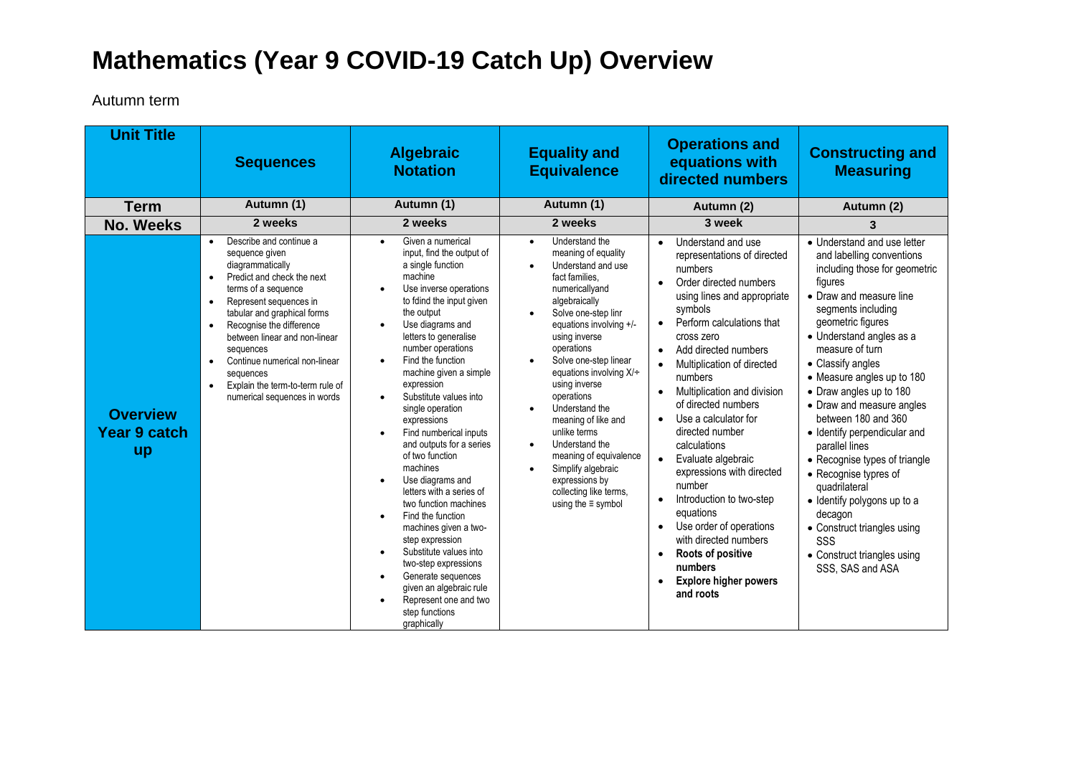## **Mathematics (Year 9 COVID-19 Catch Up) Overview**

Autumn term

| <b>Unit Title</b>                                   | <b>Sequences</b>                                                                                                                                                                                                                                                                                                                                                                                               | <b>Algebraic</b><br><b>Notation</b>                                                                                                                                                                                                                                                                                                                                                                                                                                                                                                                                                                                                                                                                                                                                                                         | <b>Equality and</b><br><b>Equivalence</b>                                                                                                                                                                                                                                                                                                                                                                                                                                                                                                                                                | <b>Operations and</b><br>equations with<br>directed numbers                                                                                                                                                                                                                                                                                                                                                                                                                                                                                                                                          | <b>Constructing and</b><br><b>Measuring</b>                                                                                                                                                                                                                                                                                                                                                                                                                                                                                                                                                                                 |
|-----------------------------------------------------|----------------------------------------------------------------------------------------------------------------------------------------------------------------------------------------------------------------------------------------------------------------------------------------------------------------------------------------------------------------------------------------------------------------|-------------------------------------------------------------------------------------------------------------------------------------------------------------------------------------------------------------------------------------------------------------------------------------------------------------------------------------------------------------------------------------------------------------------------------------------------------------------------------------------------------------------------------------------------------------------------------------------------------------------------------------------------------------------------------------------------------------------------------------------------------------------------------------------------------------|------------------------------------------------------------------------------------------------------------------------------------------------------------------------------------------------------------------------------------------------------------------------------------------------------------------------------------------------------------------------------------------------------------------------------------------------------------------------------------------------------------------------------------------------------------------------------------------|------------------------------------------------------------------------------------------------------------------------------------------------------------------------------------------------------------------------------------------------------------------------------------------------------------------------------------------------------------------------------------------------------------------------------------------------------------------------------------------------------------------------------------------------------------------------------------------------------|-----------------------------------------------------------------------------------------------------------------------------------------------------------------------------------------------------------------------------------------------------------------------------------------------------------------------------------------------------------------------------------------------------------------------------------------------------------------------------------------------------------------------------------------------------------------------------------------------------------------------------|
| <b>Term</b>                                         | Autumn (1)                                                                                                                                                                                                                                                                                                                                                                                                     | Autumn (1)                                                                                                                                                                                                                                                                                                                                                                                                                                                                                                                                                                                                                                                                                                                                                                                                  | Autumn (1)                                                                                                                                                                                                                                                                                                                                                                                                                                                                                                                                                                               | Autumn (2)                                                                                                                                                                                                                                                                                                                                                                                                                                                                                                                                                                                           | Autumn (2)                                                                                                                                                                                                                                                                                                                                                                                                                                                                                                                                                                                                                  |
| <b>No. Weeks</b>                                    | 2 weeks                                                                                                                                                                                                                                                                                                                                                                                                        | 2 weeks                                                                                                                                                                                                                                                                                                                                                                                                                                                                                                                                                                                                                                                                                                                                                                                                     | 2 weeks                                                                                                                                                                                                                                                                                                                                                                                                                                                                                                                                                                                  | 3 week                                                                                                                                                                                                                                                                                                                                                                                                                                                                                                                                                                                               | 3                                                                                                                                                                                                                                                                                                                                                                                                                                                                                                                                                                                                                           |
| <b>Overview</b><br><b>Year 9 catch</b><br><b>up</b> | Describe and continue a<br>sequence given<br>diagrammatically<br>Predict and check the next<br>terms of a sequence<br>Represent sequences in<br>$\bullet$<br>tabular and graphical forms<br>Recognise the difference<br>$\bullet$<br>between linear and non-linear<br>sequences<br>Continue numerical non-linear<br>$\bullet$<br>sequences<br>Explain the term-to-term rule of<br>numerical sequences in words | Given a numerical<br>input, find the output of<br>a single function<br>machine<br>Use inverse operations<br>to fdind the input given<br>the output<br>Use diagrams and<br>$\bullet$<br>letters to generalise<br>number operations<br>Find the function<br>machine given a simple<br>expression<br>Substitute values into<br>$\bullet$<br>single operation<br>expressions<br>Find numberical inputs<br>and outputs for a series<br>of two function<br>machines<br>Use diagrams and<br>letters with a series of<br>two function machines<br>Find the function<br>machines given a two-<br>step expression<br>Substitute values into<br>$\bullet$<br>two-step expressions<br>Generate sequences<br>$\bullet$<br>given an algebraic rule<br>Represent one and two<br>$\bullet$<br>step functions<br>graphically | Understand the<br>$\bullet$<br>meaning of equality<br>Understand and use<br>$\bullet$<br>fact families.<br>numericallyand<br>algebraically<br>Solve one-step linr<br>$\bullet$<br>equations involving +/-<br>using inverse<br>operations<br>Solve one-step linear<br>$\bullet$<br>equations involving $X/\div$<br>using inverse<br>operations<br>Understand the<br>$\bullet$<br>meaning of like and<br>unlike terms<br>Understand the<br>$\bullet$<br>meaning of equivalence<br>Simplify algebraic<br>$\bullet$<br>expressions by<br>collecting like terms,<br>using the $\equiv$ symbol | Understand and use<br>representations of directed<br>numbers<br>Order directed numbers<br>using lines and appropriate<br>symbols<br>Perform calculations that<br>cross zero<br>Add directed numbers<br>Multiplication of directed<br>numbers<br>Multiplication and division<br>of directed numbers<br>Use a calculator for<br>directed number<br>calculations<br>Evaluate algebraic<br>expressions with directed<br>number<br>Introduction to two-step<br>equations<br>Use order of operations<br>with directed numbers<br>Roots of positive<br>numbers<br><b>Explore higher powers</b><br>and roots | • Understand and use letter<br>and labelling conventions<br>including those for geometric<br>figures<br>• Draw and measure line<br>segments including<br>geometric figures<br>• Understand angles as a<br>measure of turn<br>• Classify angles<br>• Measure angles up to 180<br>• Draw angles up to 180<br>• Draw and measure angles<br>between 180 and 360<br>· Identify perpendicular and<br>parallel lines<br>• Recognise types of triangle<br>• Recognise typres of<br>quadrilateral<br>· Identify polygons up to a<br>decagon<br>• Construct triangles using<br>SSS<br>• Construct triangles using<br>SSS, SAS and ASA |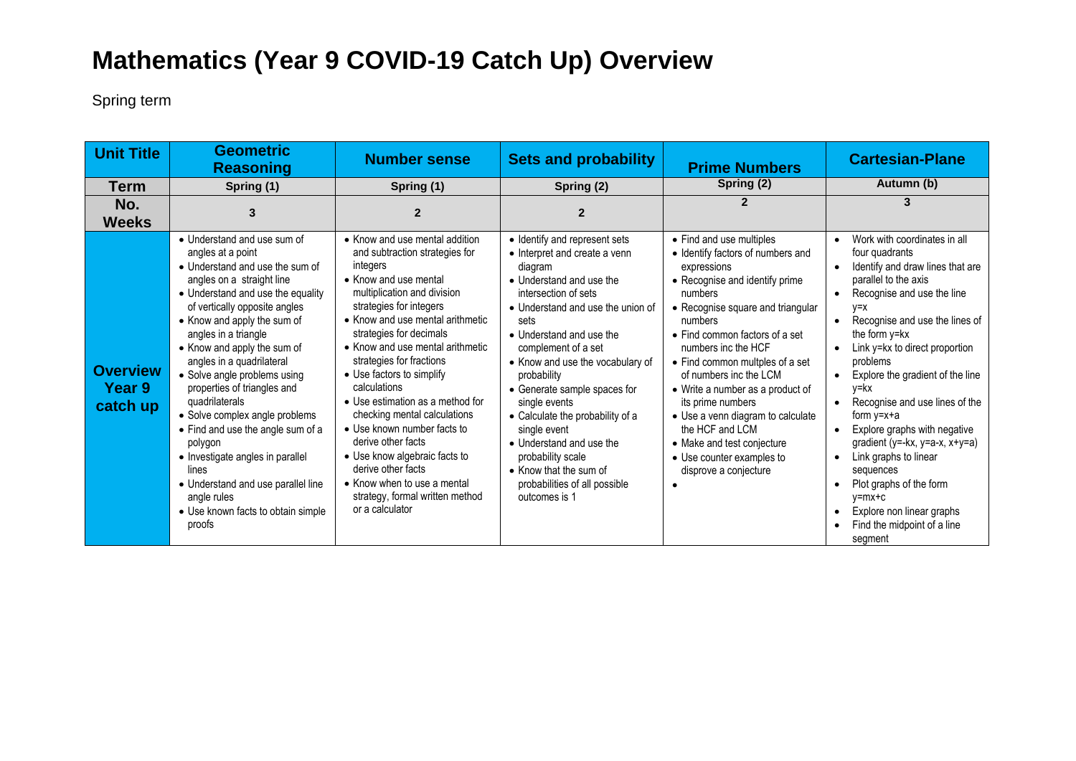## **Mathematics (Year 9 COVID-19 Catch Up) Overview**

Spring term

| <b>Unit Title</b>                            | <b>Geometric</b><br><b>Reasoning</b>                                                                                                                                                                                                                                                                                                                                                                                                                                                                                                                                                                                           | <b>Number sense</b>                                                                                                                                                                                                                                                                                                                                                                                                                                                                                                                                                                                              | <b>Sets and probability</b>                                                                                                                                                                                                                                                                                                                                                                                                                                                                                        | <b>Prime Numbers</b>                                                                                                                                                                                                                                                                                                                                                                                                                                                                                 | <b>Cartesian-Plane</b>                                                                                                                                                                                                                                                                                                                                                                                                                                                                                                                                                                                                                                                                             |
|----------------------------------------------|--------------------------------------------------------------------------------------------------------------------------------------------------------------------------------------------------------------------------------------------------------------------------------------------------------------------------------------------------------------------------------------------------------------------------------------------------------------------------------------------------------------------------------------------------------------------------------------------------------------------------------|------------------------------------------------------------------------------------------------------------------------------------------------------------------------------------------------------------------------------------------------------------------------------------------------------------------------------------------------------------------------------------------------------------------------------------------------------------------------------------------------------------------------------------------------------------------------------------------------------------------|--------------------------------------------------------------------------------------------------------------------------------------------------------------------------------------------------------------------------------------------------------------------------------------------------------------------------------------------------------------------------------------------------------------------------------------------------------------------------------------------------------------------|------------------------------------------------------------------------------------------------------------------------------------------------------------------------------------------------------------------------------------------------------------------------------------------------------------------------------------------------------------------------------------------------------------------------------------------------------------------------------------------------------|----------------------------------------------------------------------------------------------------------------------------------------------------------------------------------------------------------------------------------------------------------------------------------------------------------------------------------------------------------------------------------------------------------------------------------------------------------------------------------------------------------------------------------------------------------------------------------------------------------------------------------------------------------------------------------------------------|
| <b>Term</b>                                  | Spring (1)                                                                                                                                                                                                                                                                                                                                                                                                                                                                                                                                                                                                                     | Spring (1)                                                                                                                                                                                                                                                                                                                                                                                                                                                                                                                                                                                                       | Spring (2)                                                                                                                                                                                                                                                                                                                                                                                                                                                                                                         | Spring (2)                                                                                                                                                                                                                                                                                                                                                                                                                                                                                           | Autumn (b)                                                                                                                                                                                                                                                                                                                                                                                                                                                                                                                                                                                                                                                                                         |
| No.<br><b>Weeks</b>                          |                                                                                                                                                                                                                                                                                                                                                                                                                                                                                                                                                                                                                                | 2                                                                                                                                                                                                                                                                                                                                                                                                                                                                                                                                                                                                                |                                                                                                                                                                                                                                                                                                                                                                                                                                                                                                                    |                                                                                                                                                                                                                                                                                                                                                                                                                                                                                                      |                                                                                                                                                                                                                                                                                                                                                                                                                                                                                                                                                                                                                                                                                                    |
| <b>Overview</b><br><b>Year 9</b><br>catch up | • Understand and use sum of<br>angles at a point<br>• Understand and use the sum of<br>angles on a straight line<br>• Understand and use the equality<br>of vertically opposite angles<br>• Know and apply the sum of<br>angles in a triangle<br>• Know and apply the sum of<br>angles in a quadrilateral<br>• Solve angle problems using<br>properties of triangles and<br>quadrilaterals<br>• Solve complex angle problems<br>• Find and use the angle sum of a<br>polygon<br>• Investigate angles in parallel<br>lines<br>• Understand and use parallel line<br>angle rules<br>• Use known facts to obtain simple<br>proofs | • Know and use mental addition<br>and subtraction strategies for<br>integers<br>• Know and use mental<br>multiplication and division<br>strategies for integers<br>• Know and use mental arithmetic<br>strategies for decimals<br>• Know and use mental arithmetic<br>strategies for fractions<br>• Use factors to simplify<br>calculations<br>• Use estimation as a method for<br>checking mental calculations<br>• Use known number facts to<br>derive other facts<br>• Use know algebraic facts to<br>derive other facts<br>• Know when to use a mental<br>strategy, formal written method<br>or a calculator | • Identify and represent sets<br>• Interpret and create a venn<br>diagram<br>• Understand and use the<br>intersection of sets<br>• Understand and use the union of<br>sets<br>• Understand and use the<br>complement of a set<br>• Know and use the vocabulary of<br>probability<br>• Generate sample spaces for<br>single events<br>• Calculate the probability of a<br>single event<br>• Understand and use the<br>probability scale<br>• Know that the sum of<br>probabilities of all possible<br>outcomes is 1 | • Find and use multiples<br>• Identify factors of numbers and<br>expressions<br>• Recognise and identify prime<br>numbers<br>• Recognise square and triangular<br>numbers<br>• Find common factors of a set<br>numbers inc the HCF<br>• Find common multples of a set<br>of numbers inc the LCM<br>• Write a number as a product of<br>its prime numbers<br>• Use a venn diagram to calculate<br>the HCF and LCM<br>• Make and test conjecture<br>• Use counter examples to<br>disprove a conjecture | Work with coordinates in all<br>$\bullet$<br>four quadrants<br>Identify and draw lines that are<br>parallel to the axis<br>Recognise and use the line<br>$V = X$<br>Recognise and use the lines of<br>$\bullet$<br>the form y=kx<br>Link y=kx to direct proportion<br>$\bullet$<br>problems<br>Explore the gradient of the line<br>$\bullet$<br>y=kx<br>Recognise and use lines of the<br>$\bullet$<br>form $y=x+a$<br>Explore graphs with negative<br>$\bullet$<br>gradient ( $y = -kx$ , $y = a-x$ , $x+y=a$ )<br>Link graphs to linear<br>$\bullet$<br>sequences<br>Plot graphs of the form<br>$v = mx + c$<br>Explore non linear graphs<br>$\bullet$<br>Find the midpoint of a line<br>segment |